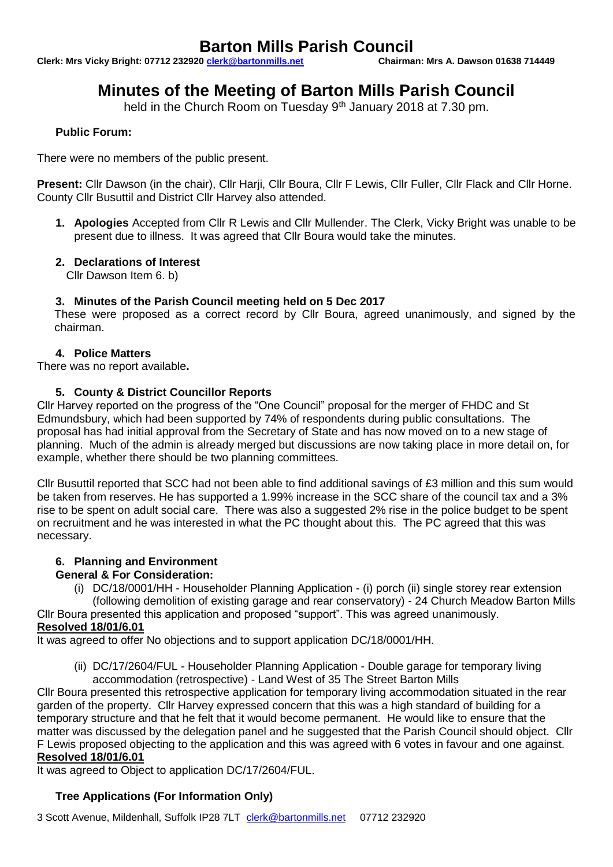# **Barton Mills Parish Council**<br><u>0 clerk@bartonmills.net</u> Chairman: Mrs A. Dawson 01638 714449

**Clerk: Mrs Vicky Bright: 07712 232920 clerk@bartonmills.net** 

# **Minutes of the Meeting of Barton Mills Parish Council**

held in the Church Room on Tuesday 9<sup>th</sup> January 2018 at 7.30 pm.

# **Public Forum:**

There were no members of the public present.

**Present:** Cllr Dawson (in the chair), Cllr Harji, Cllr Boura, Cllr F Lewis, Cllr Fuller, Cllr Flack and Cllr Horne. County Cllr Busuttil and District Cllr Harvey also attended.

**1. Apologies** Accepted from Cllr R Lewis and Cllr Mullender. The Clerk, Vicky Bright was unable to be present due to illness. It was agreed that Cllr Boura would take the minutes.

# **2. Declarations of Interest**

Cllr Dawson Item 6. b)

### **3. Minutes of the Parish Council meeting held on 5 Dec 2017**

These were proposed as a correct record by Cllr Boura, agreed unanimously, and signed by the chairman.

### **4. Police Matters**

There was no report available**.**

### **5. County & District Councillor Reports**

Cllr Harvey reported on the progress of the "One Council" proposal for the merger of FHDC and St Edmundsbury, which had been supported by 74% of respondents during public consultations. The proposal has had initial approval from the Secretary of State and has now moved on to a new stage of planning. Much of the admin is already merged but discussions are now taking place in more detail on, for example, whether there should be two planning committees.

Cllr Busuttil reported that SCC had not been able to find additional savings of £3 million and this sum would be taken from reserves. He has supported a 1.99% increase in the SCC share of the council tax and a 3% rise to be spent on adult social care. There was also a suggested 2% rise in the police budget to be spent on recruitment and he was interested in what the PC thought about this. The PC agreed that this was necessary.

# **6. Planning and Environment**

#### **General & For Consideration:**

(i) DC/18/0001/HH - Householder Planning Application - (i) porch (ii) single storey rear extension (following demolition of existing garage and rear conservatory) - 24 Church Meadow Barton Mills

Cllr Boura presented this application and proposed "support". This was agreed unanimously. **Resolved 18/01/6.01**

It was agreed to offer No objections and to support application DC/18/0001/HH.

(ii) DC/17/2604/FUL - Householder Planning Application - Double garage for temporary living accommodation (retrospective) - Land West of 35 The Street Barton Mills

Cllr Boura presented this retrospective application for temporary living accommodation situated in the rear garden of the property. Cllr Harvey expressed concern that this was a high standard of building for a temporary structure and that he felt that it would become permanent. He would like to ensure that the matter was discussed by the delegation panel and he suggested that the Parish Council should object. Cllr F Lewis proposed objecting to the application and this was agreed with 6 votes in favour and one against. **Resolved 18/01/6.01**

It was agreed to Object to application DC/17/2604/FUL.

# **Tree Applications (For Information Only)**

3 Scott Avenue, Mildenhall, Suffolk IP28 7LT [clerk@bartonmills.net](mailto:clerk@bartonmills.net) 07712 232920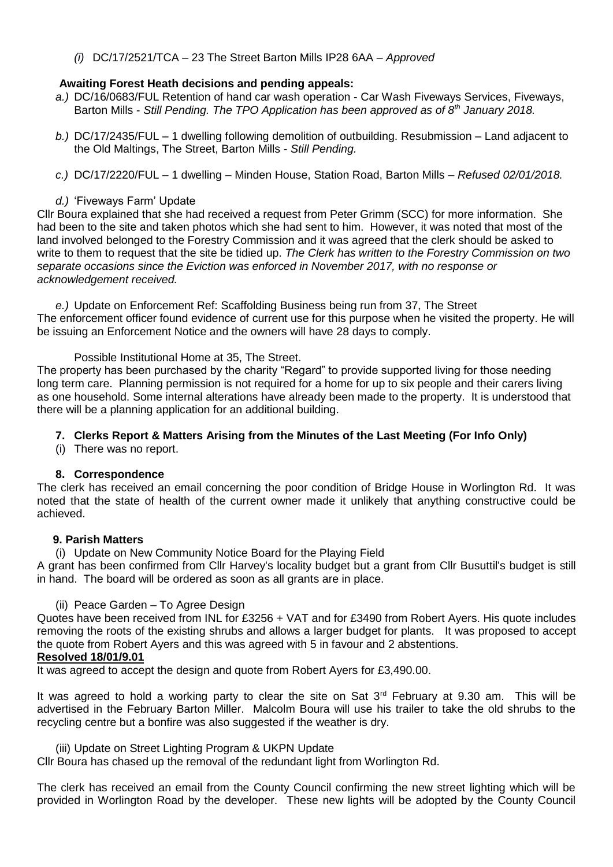*(i)* DC/17/2521/TCA – 23 The Street Barton Mills IP28 6AA – *Approved*

### **Awaiting Forest Heath decisions and pending appeals:**

- *a.)* DC/16/0683/FUL Retention of hand car wash operation Car Wash Fiveways Services, Fiveways, Barton Mills - *Still Pending. The TPO Application has been approved as of 8th January 2018.*
- *b.)* DC/17/2435/FUL 1 dwelling following demolition of outbuilding. Resubmission Land adjacent to the Old Maltings, The Street, Barton Mills - *Still Pending.*
- *c.)* DC/17/2220/FUL 1 dwelling Minden House, Station Road, Barton Mills *Refused 02/01/2018.*

### *d.)* 'Fiveways Farm' Update

Cllr Boura explained that she had received a request from Peter Grimm (SCC) for more information. She had been to the site and taken photos which she had sent to him. However, it was noted that most of the land involved belonged to the Forestry Commission and it was agreed that the clerk should be asked to write to them to request that the site be tidied up. *The Clerk has written to the Forestry Commission on two separate occasions since the Eviction was enforced in November 2017, with no response or acknowledgement received.*

*e.)* Update on Enforcement Ref: Scaffolding Business being run from 37, The Street The enforcement officer found evidence of current use for this purpose when he visited the property. He will be issuing an Enforcement Notice and the owners will have 28 days to comply.

Possible Institutional Home at 35, The Street.

The property has been purchased by the charity "Regard" to provide supported living for those needing long term care. Planning permission is not required for a home for up to six people and their carers living as one household. Some internal alterations have already been made to the property. It is understood that there will be a planning application for an additional building.

# **7. Clerks Report & Matters Arising from the Minutes of the Last Meeting (For Info Only)**

(i) There was no report.

#### **8. Correspondence**

The clerk has received an email concerning the poor condition of Bridge House in Worlington Rd. It was noted that the state of health of the current owner made it unlikely that anything constructive could be achieved.

#### **9. Parish Matters**

(i) Update on New Community Notice Board for the Playing Field

A grant has been confirmed from Cllr Harvey's locality budget but a grant from Cllr Busuttil's budget is still in hand. The board will be ordered as soon as all grants are in place.

#### (ii) Peace Garden – To Agree Design

Quotes have been received from INL for £3256 + VAT and for £3490 from Robert Ayers. His quote includes removing the roots of the existing shrubs and allows a larger budget for plants. It was proposed to accept the quote from Robert Ayers and this was agreed with 5 in favour and 2 abstentions.

#### **Resolved 18/01/9.01**

It was agreed to accept the design and quote from Robert Ayers for £3,490.00.

It was agreed to hold a working party to clear the site on Sat  $3<sup>rd</sup>$  February at 9.30 am. This will be advertised in the February Barton Miller. Malcolm Boura will use his trailer to take the old shrubs to the recycling centre but a bonfire was also suggested if the weather is dry.

(iii) Update on Street Lighting Program & UKPN Update

Cllr Boura has chased up the removal of the redundant light from Worlington Rd.

The clerk has received an email from the County Council confirming the new street lighting which will be provided in Worlington Road by the developer. These new lights will be adopted by the County Council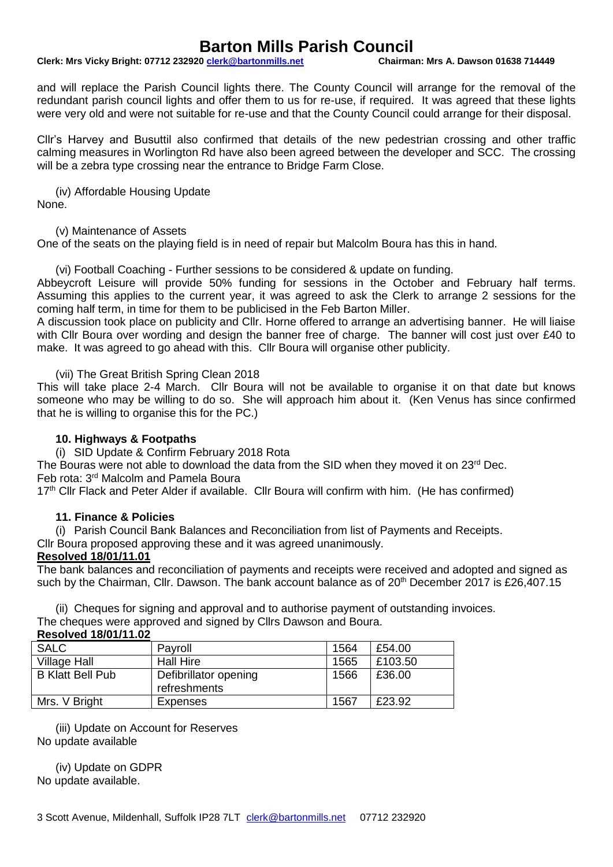# **Barton Mills Parish Council**<br>0 clerk@bartonmills.net Chairman: Mrs A. Dawson 01638 714449

#### **Clerk: Mrs Vicky Bright: 07712 232920 clerk@bartonmills.net**

and will replace the Parish Council lights there. The County Council will arrange for the removal of the redundant parish council lights and offer them to us for re-use, if required. It was agreed that these lights were very old and were not suitable for re-use and that the County Council could arrange for their disposal.

Cllr's Harvey and Busuttil also confirmed that details of the new pedestrian crossing and other traffic calming measures in Worlington Rd have also been agreed between the developer and SCC. The crossing will be a zebra type crossing near the entrance to Bridge Farm Close.

(iv) Affordable Housing Update None.

(v) Maintenance of Assets

One of the seats on the playing field is in need of repair but Malcolm Boura has this in hand.

(vi) Football Coaching - Further sessions to be considered & update on funding.

Abbeycroft Leisure will provide 50% funding for sessions in the October and February half terms. Assuming this applies to the current year, it was agreed to ask the Clerk to arrange 2 sessions for the coming half term, in time for them to be publicised in the Feb Barton Miller.

A discussion took place on publicity and Cllr. Horne offered to arrange an advertising banner. He will liaise with Cllr Boura over wording and design the banner free of charge. The banner will cost just over £40 to make. It was agreed to go ahead with this. Cllr Boura will organise other publicity.

(vii) The Great British Spring Clean 2018

This will take place 2-4 March. Cllr Boura will not be available to organise it on that date but knows someone who may be willing to do so. She will approach him about it. (Ken Venus has since confirmed that he is willing to organise this for the PC.)

#### **10. Highways & Footpaths**

(i) SID Update & Confirm February 2018 Rota

The Bouras were not able to download the data from the SID when they moved it on  $23<sup>rd</sup>$  Dec. Feb rota: 3rd Malcolm and Pamela Boura

17<sup>th</sup> Cllr Flack and Peter Alder if available. Cllr Boura will confirm with him. (He has confirmed)

#### **11. Finance & Policies**

(i) Parish Council Bank Balances and Reconciliation from list of Payments and Receipts.

Cllr Boura proposed approving these and it was agreed unanimously.

#### **Resolved 18/01/11.01**

The bank balances and reconciliation of payments and receipts were received and adopted and signed as such by the Chairman, Cllr. Dawson. The bank account balance as of 20<sup>th</sup> December 2017 is £26.407.15

(ii) Cheques for signing and approval and to authorise payment of outstanding invoices. The cheques were approved and signed by Cllrs Dawson and Boura.

| <b>Resolved 18/01/11.02</b> |
|-----------------------------|
|-----------------------------|

| <b>SALC</b>             | Payroll               | 1564 | £54.00  |
|-------------------------|-----------------------|------|---------|
| <b>Village Hall</b>     | <b>Hall Hire</b>      | 1565 | £103.50 |
| <b>B Klatt Bell Pub</b> | Defibrillator opening | 1566 | £36.00  |
|                         | refreshments          |      |         |
| Mrs. V Bright           | Expenses              | 1567 | £23.92  |

(iii) Update on Account for Reserves No update available

(iv) Update on GDPR No update available.